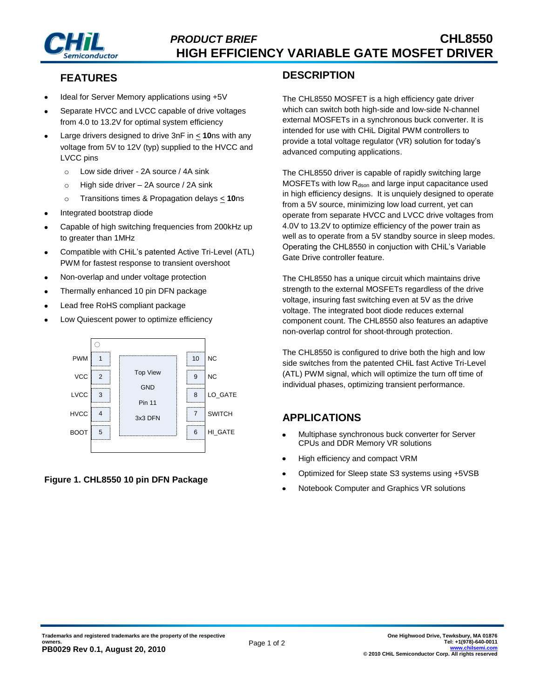

# **FEATURES**

- Ideal for Server Memory applications using +5V
- Separate HVCC and LVCC capable of drive voltages from 4.0 to 13.2V for optimal system efficiency
- Large drivers designed to drive 3nF in < **10**ns with any voltage from 5V to 12V (typ) supplied to the HVCC and LVCC pins
	- o Low side driver 2A source / 4A sink
	- o High side driver 2A source / 2A sink
	- o Transitions times & Propagation delays < **10**ns
- Integrated bootstrap diode
- Capable of high switching frequencies from 200kHz up to greater than 1MHz
- Compatible with CHiL's patented Active Tri-Level (ATL) PWM for fastest response to transient overshoot
- Non-overlap and under voltage protection
- Thermally enhanced 10 pin DFN package
- Lead free RoHS compliant package
- Low Quiescent power to optimize efficiency



#### **Figure 1. CHL8550 10 pin DFN Package**

### **DESCRIPTION**

The CHL8550 MOSFET is a high efficiency gate driver which can switch both high-side and low-side N-channel external MOSFETs in a synchronous buck converter. It is intended for use with CHiL Digital PWM controllers to provide a total voltage regulator (VR) solution for today's advanced computing applications.

The CHL8550 driver is capable of rapidly switching large MOSFETs with low  $R_{dson}$  and large input capacitance used in high efficiency designs. It is unquiely designed to operate from a 5V source, minimizing low load current, yet can operate from separate HVCC and LVCC drive voltages from 4.0V to 13.2V to optimize efficiency of the power train as well as to operate from a 5V standby source in sleep modes. Operating the CHL8550 in conjuction with CHiL's Variable Gate Drive controller feature.

The CHL8550 has a unique circuit which maintains drive strength to the external MOSFETs regardless of the drive voltage, insuring fast switching even at 5V as the drive voltage. The integrated boot diode reduces external component count. The CHL8550 also features an adaptive non-overlap control for shoot-through protection.

The CHL8550 is configured to drive both the high and low side switches from the patented CHiL fast Active Tri-Level (ATL) PWM signal, which will optimize the turn off time of individual phases, optimizing transient performance.

## **APPLICATIONS**

- $\bullet$ Multiphase synchronous buck converter for Server CPUs and DDR Memory VR solutions
- High efficiency and compact VRM
- Optimized for Sleep state S3 systems using +5VSB
- Notebook Computer and Graphics VR solutions